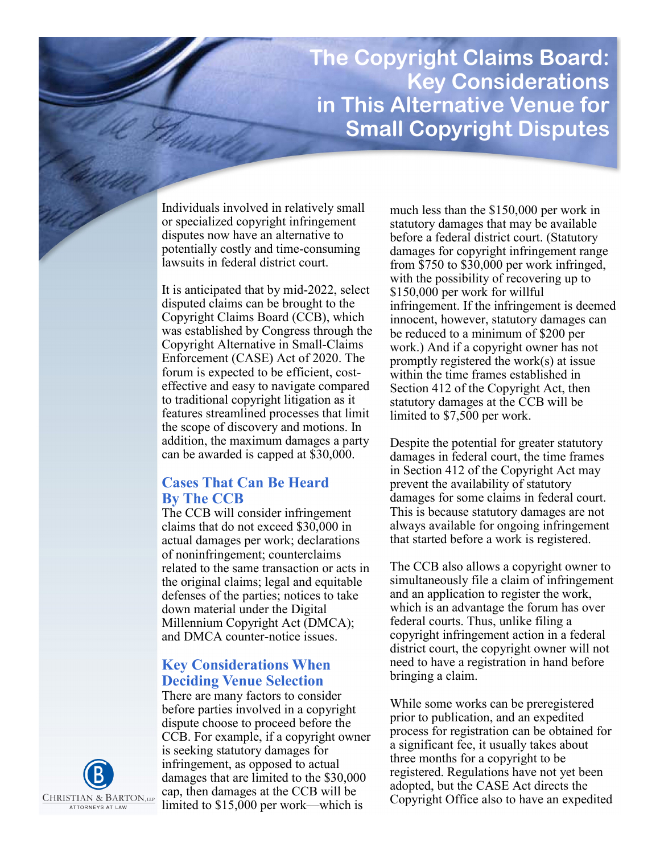# **The Copyright Claims Board: Key Considerations in This Alternative Venue for Small Copyright Disputes**

Individuals involved in relatively small or specialized copyright infringement disputes now have an alternative to potentially costly and time-consuming lawsuits in federal district court.

It is anticipated that by mid-2022, select disputed claims can be brought to the Copyright Claims Board (CCB), which was established by Congress through the Copyright Alternative in Small-Claims Enforcement (CASE) Act of 2020. The forum is expected to be efficient, costeffective and easy to navigate compared to traditional copyright litigation as it features streamlined processes that limit the scope of discovery and motions. In addition, the maximum damages a party can be awarded is capped at \$30,000.

## **Cases That Can Be Heard By The CCB**

The CCB will consider infringement claims that do not exceed \$30,000 in actual damages per work; declarations of noninfringement; counterclaims related to the same transaction or acts in the original claims; legal and equitable defenses of the parties; notices to take down material under the Digital Millennium Copyright Act (DMCA); and DMCA counter-notice issues.

### **Key Considerations When Deciding Venue Selection**

There are many factors to consider before parties involved in a copyright dispute choose to proceed before the CCB. For example, if a copyright owner is seeking statutory damages for infringement, as opposed to actual damages that are limited to the \$30,000 cap, then damages at the CCB will be limited to \$15,000 per work—which is

much less than the \$150,000 per work in statutory damages that may be available before a federal district court. (Statutory damages for copyright infringement range from \$750 to \$30,000 per work infringed, with the possibility of recovering up to \$150,000 per work for willful infringement. If the infringement is deemed innocent, however, statutory damages can be reduced to a minimum of \$200 per work.) And if a copyright owner has not promptly registered the work(s) at issue within the time frames established in Section 412 of the Copyright Act, then statutory damages at the CCB will be limited to \$7,500 per work.

Despite the potential for greater statutory damages in federal court, the time frames in Section 412 of the Copyright Act may prevent the availability of statutory damages for some claims in federal court. This is because statutory damages are not always available for ongoing infringement that started before a work is registered.

The CCB also allows a copyright owner to simultaneously file a claim of infringement and an application to register the work, which is an advantage the forum has over federal courts. Thus, unlike filing a copyright infringement action in a federal district court, the copyright owner will not need to have a registration in hand before bringing a claim.

While some works can be preregistered prior to publication, and an expedited process for registration can be obtained for a significant fee, it usually takes about three months for a copyright to be registered. Regulations have not yet been adopted, but the CASE Act directs the Copyright Office also to have an expedited